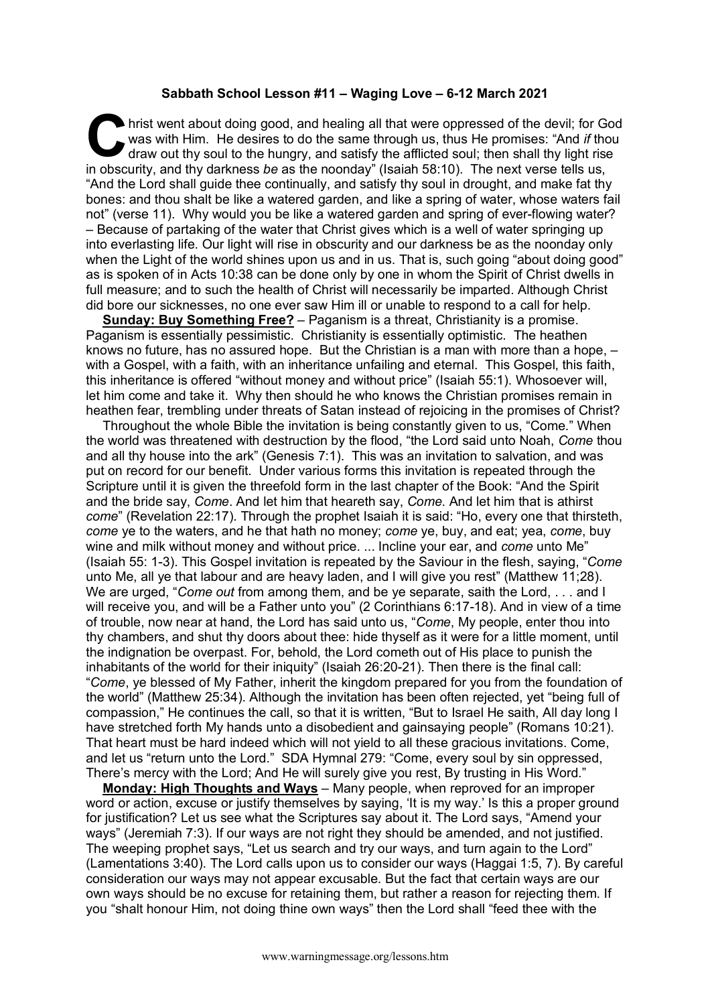## **Sabbath School Lesson #11 – Waging Love – 6-12 March 2021**

hrist went about doing good, and healing all that were oppressed of the devil; for God was with Him. He desires to do the same through us, thus He promises: "And *if* thou draw out thy soul to the hungry, and satisfy the afflicted soul; then shall thy light rise in obscurity, and thy darkness *be* as the noonday" (Isaiah 58:10). The next verse tells us, "And the Lord shall guide thee continually, and satisfy thy soul in drought, and make fat thy bones: and thou shalt be like a watered garden, and like a spring of water, whose waters fail not" (verse 11). Why would you be like a watered garden and spring of ever-flowing water? – Because of partaking of the water that Christ gives which is a well of water springing up into everlasting life. Our light will rise in obscurity and our darkness be as the noonday only when the Light of the world shines upon us and in us. That is, such going "about doing good" as is spoken of in Acts 10:38 can be done only by one in whom the Spirit of Christ dwells in full measure; and to such the health of Christ will necessarily be imparted. Although Christ did bore our sicknesses, no one ever saw Him ill or unable to respond to a call for help. **C** hris

**Sunday: Buy Something Free?** – Paganism is a threat, Christianity is a promise. Paganism is essentially pessimistic. Christianity is essentially optimistic. The heathen knows no future, has no assured hope. But the Christian is a man with more than a hope, – with a Gospel, with a faith, with an inheritance unfailing and eternal. This Gospel, this faith, this inheritance is offered "without money and without price" (Isaiah 55:1). Whosoever will, let him come and take it. Why then should he who knows the Christian promises remain in heathen fear, trembling under threats of Satan instead of rejoicing in the promises of Christ?

Throughout the whole Bible the invitation is being constantly given to us, "Come." When the world was threatened with destruction by the flood, "the Lord said unto Noah, *Come* thou and all thy house into the ark" (Genesis 7:1). This was an invitation to salvation, and was put on record for our benefit. Under various forms this invitation is repeated through the Scripture until it is given the threefold form in the last chapter of the Book: "And the Spirit and the bride say, *Come*. And let him that heareth say, *Come*. And let him that is athirst *come*" (Revelation 22:17). Through the prophet Isaiah it is said: "Ho, every one that thirsteth, *come* ye to the waters, and he that hath no money; *come* ye, buy, and eat; yea, *come*, buy wine and milk without money and without price. ... Incline your ear, and *come* unto Me" (Isaiah 55: 1-3). This Gospel invitation is repeated by the Saviour in the flesh, saying, "*Come*  unto Me, all ye that labour and are heavy laden, and I will give you rest" (Matthew 11;28). We are urged, "*Come out* from among them, and be ye separate, saith the Lord, . . . and I will receive you, and will be a Father unto you" (2 Corinthians 6:17-18). And in view of a time of trouble, now near at hand, the Lord has said unto us, "*Come*, My people, enter thou into thy chambers, and shut thy doors about thee: hide thyself as it were for a little moment, until the indignation be overpast. For, behold, the Lord cometh out of His place to punish the inhabitants of the world for their iniquity" (Isaiah 26:20-21). Then there is the final call: "*Come*, ye blessed of My Father, inherit the kingdom prepared for you from the foundation of the world" (Matthew 25:34). Although the invitation has been often rejected, yet "being full of compassion," He continues the call, so that it is written, "But to Israel He saith, All day long I have stretched forth My hands unto a disobedient and gainsaying people" (Romans 10:21). That heart must be hard indeed which will not yield to all these gracious invitations. Come, and let us "return unto the Lord." SDA Hymnal 279: "Come, every soul by sin oppressed, There's mercy with the Lord; And He will surely give you rest, By trusting in His Word."

**Monday: High Thoughts and Ways** – Many people, when reproved for an improper word or action, excuse or justify themselves by saying, 'It is my way.' Is this a proper ground for justification? Let us see what the Scriptures say about it. The Lord says, "Amend your ways" (Jeremiah 7:3). If our ways are not right they should be amended, and not justified. The weeping prophet says, "Let us search and try our ways, and turn again to the Lord" (Lamentations 3:40). The Lord calls upon us to consider our ways (Haggai 1:5, 7). By careful consideration our ways may not appear excusable. But the fact that certain ways are our own ways should be no excuse for retaining them, but rather a reason for rejecting them. If you "shalt honour Him, not doing thine own ways" then the Lord shall "feed thee with the